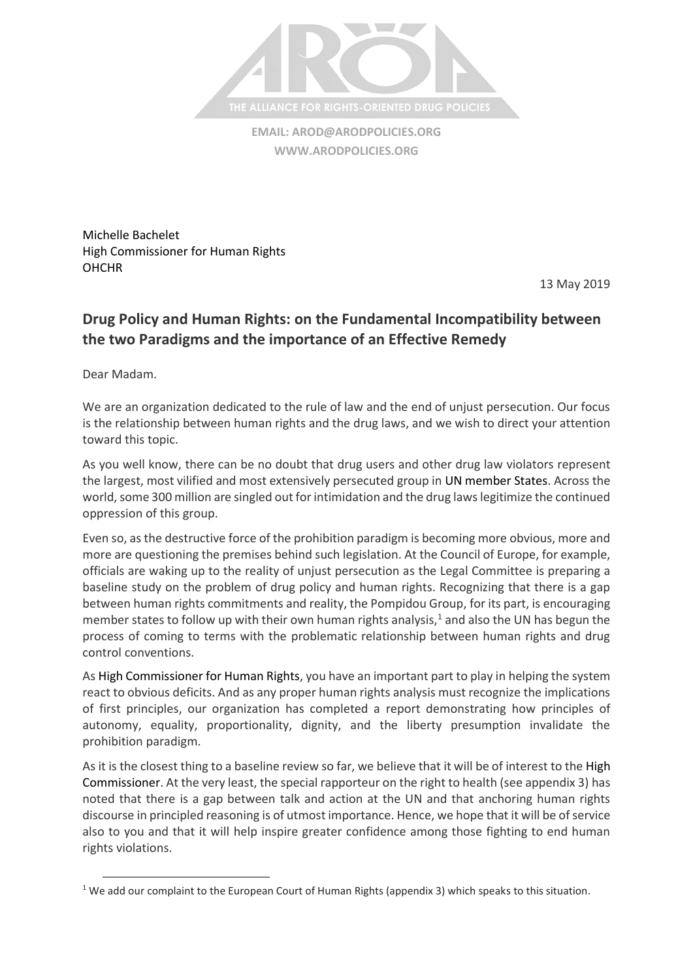

**EMAIL: [AROD@ARODPOLICIES.ORG](mailto:AROD@ARODPOLICIES.ORG) [WWW.ARODPOLICIES.ORG](http://www.arodpolicies.org/)**

Michelle Bachelet High Commissioner for Human Rights **OHCHR** 

13 May 2019

## **Drug Policy and Human Rights: on the Fundamental Incompatibility between the two Paradigms and the importance of an Effective Remedy**

Dear Madam.

 $\overline{\phantom{a}}$ 

We are an organization dedicated to the rule of law and the end of unjust persecution. Our focus is the relationship between human rights and the drug laws, and we wish to direct your attention toward this topic.

As you well know, there can be no doubt that drug users and other drug law violators represent the largest, most vilified and most extensively persecuted group in UN member States. Across the world, some 300 million are singled out for intimidation and the drug laws legitimize the continued oppression of this group.

Even so, as the destructive force of the prohibition paradigm is becoming more obvious, more and more are questioning the premises behind such legislation. At the Council of Europe, for example, officials are waking up to the reality of unjust persecution as the Legal Committee is preparing a baseline study on the problem of drug policy and human rights. Recognizing that there is a gap between human rights commitments and reality, the Pompidou Group, for its part, is encouraging member states to follow up with their own human rights analysis, $<sup>1</sup>$  and also the UN has begun the</sup> process of coming to terms with the problematic relationship between human rights and drug control conventions.

As High Commissioner for Human Rights, you have an important part to play in helping the system react to obvious deficits. And as any proper human rights analysis must recognize the implications of first principles, our organization has completed a report demonstrating how principles of autonomy, equality, proportionality, dignity, and the liberty presumption invalidate the prohibition paradigm.

As it is the closest thing to a baseline review so far, we believe that it will be of interest to the High Commissioner. At the very least, the special rapporteur on the right to health (see appendix 3) has noted that there is a gap between talk and action at the UN and that anchoring human rights discourse in principled reasoning is of utmost importance. Hence, we hope that it will be of service also to you and that it will help inspire greater confidence among those fighting to end human rights violations.

<sup>&</sup>lt;sup>1</sup> We add our complaint to the European Court of Human Rights (appendix 3) which speaks to this situation.